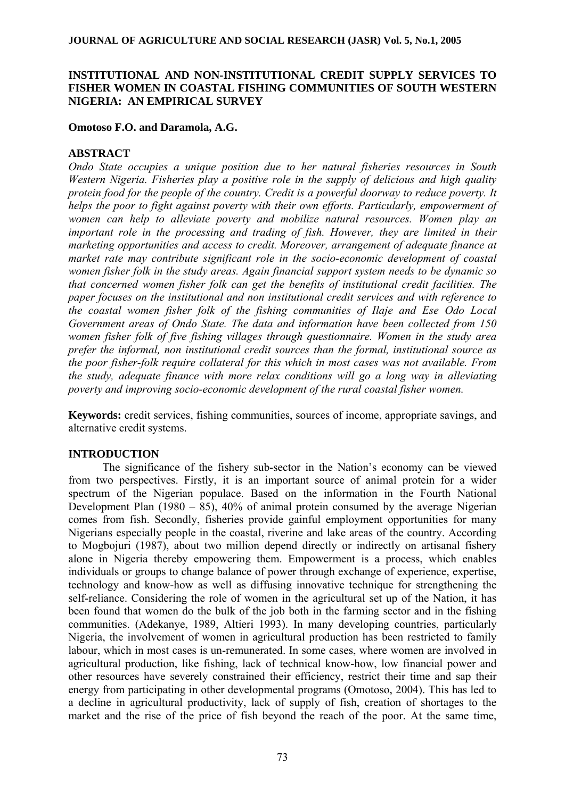## **INSTITUTIONAL AND NON-INSTITUTIONAL CREDIT SUPPLY SERVICES TO FISHER WOMEN IN COASTAL FISHING COMMUNITIES OF SOUTH WESTERN NIGERIA: AN EMPIRICAL SURVEY**

### **Omotoso F.O. and Daramola, A.G.**

### **ABSTRACT**

*Ondo State occupies a unique position due to her natural fisheries resources in South Western Nigeria. Fisheries play a positive role in the supply of delicious and high quality protein food for the people of the country. Credit is a powerful doorway to reduce poverty. It helps the poor to fight against poverty with their own efforts. Particularly, empowerment of women can help to alleviate poverty and mobilize natural resources. Women play an important role in the processing and trading of fish. However, they are limited in their marketing opportunities and access to credit. Moreover, arrangement of adequate finance at market rate may contribute significant role in the socio-economic development of coastal women fisher folk in the study areas. Again financial support system needs to be dynamic so that concerned women fisher folk can get the benefits of institutional credit facilities. The paper focuses on the institutional and non institutional credit services and with reference to the coastal women fisher folk of the fishing communities of Ilaje and Ese Odo Local Government areas of Ondo State. The data and information have been collected from 150 women fisher folk of five fishing villages through questionnaire. Women in the study area prefer the informal, non institutional credit sources than the formal, institutional source as the poor fisher-folk require collateral for this which in most cases was not available. From the study, adequate finance with more relax conditions will go a long way in alleviating poverty and improving socio-economic development of the rural coastal fisher women.* 

**Keywords:** credit services, fishing communities, sources of income, appropriate savings, and alternative credit systems.

### **INTRODUCTION**

The significance of the fishery sub-sector in the Nation's economy can be viewed from two perspectives. Firstly, it is an important source of animal protein for a wider spectrum of the Nigerian populace. Based on the information in the Fourth National Development Plan  $(1980 - 85)$ ,  $40\%$  of animal protein consumed by the average Nigerian comes from fish. Secondly, fisheries provide gainful employment opportunities for many Nigerians especially people in the coastal, riverine and lake areas of the country. According to Mogbojuri (1987), about two million depend directly or indirectly on artisanal fishery alone in Nigeria thereby empowering them. Empowerment is a process, which enables individuals or groups to change balance of power through exchange of experience, expertise, technology and know-how as well as diffusing innovative technique for strengthening the self-reliance. Considering the role of women in the agricultural set up of the Nation, it has been found that women do the bulk of the job both in the farming sector and in the fishing communities. (Adekanye, 1989, Altieri 1993). In many developing countries, particularly Nigeria, the involvement of women in agricultural production has been restricted to family labour, which in most cases is un-remunerated. In some cases, where women are involved in agricultural production, like fishing, lack of technical know-how, low financial power and other resources have severely constrained their efficiency, restrict their time and sap their energy from participating in other developmental programs (Omotoso, 2004). This has led to a decline in agricultural productivity, lack of supply of fish, creation of shortages to the market and the rise of the price of fish beyond the reach of the poor. At the same time,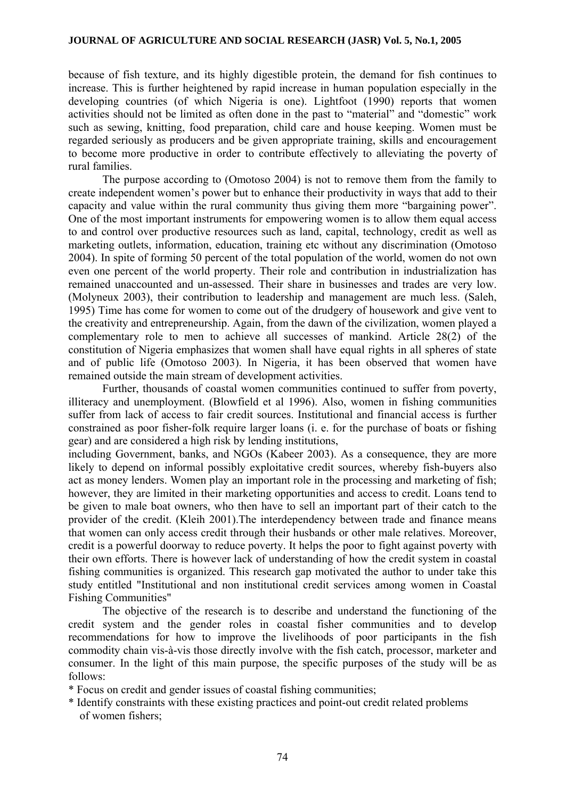because of fish texture, and its highly digestible protein, the demand for fish continues to increase. This is further heightened by rapid increase in human population especially in the developing countries (of which Nigeria is one). Lightfoot (1990) reports that women activities should not be limited as often done in the past to "material" and "domestic" work such as sewing, knitting, food preparation, child care and house keeping. Women must be regarded seriously as producers and be given appropriate training, skills and encouragement to become more productive in order to contribute effectively to alleviating the poverty of rural families.

The purpose according to (Omotoso 2004) is not to remove them from the family to create independent women's power but to enhance their productivity in ways that add to their capacity and value within the rural community thus giving them more "bargaining power". One of the most important instruments for empowering women is to allow them equal access to and control over productive resources such as land, capital, technology, credit as well as marketing outlets, information, education, training etc without any discrimination (Omotoso 2004). In spite of forming 50 percent of the total population of the world, women do not own even one percent of the world property. Their role and contribution in industrialization has remained unaccounted and un-assessed. Their share in businesses and trades are very low. (Molyneux 2003), their contribution to leadership and management are much less. (Saleh, 1995) Time has come for women to come out of the drudgery of housework and give vent to the creativity and entrepreneurship. Again, from the dawn of the civilization, women played a complementary role to men to achieve all successes of mankind. Article 28(2) of the constitution of Nigeria emphasizes that women shall have equal rights in all spheres of state and of public life (Omotoso 2003). In Nigeria, it has been observed that women have remained outside the main stream of development activities.

Further, thousands of coastal women communities continued to suffer from poverty, illiteracy and unemployment. (Blowfield et al 1996). Also, women in fishing communities suffer from lack of access to fair credit sources. Institutional and financial access is further constrained as poor fisher-folk require larger loans (i. e. for the purchase of boats or fishing gear) and are considered a high risk by lending institutions,

including Government, banks, and NGOs (Kabeer 2003). As a consequence, they are more likely to depend on informal possibly exploitative credit sources, whereby fish-buyers also act as money lenders. Women play an important role in the processing and marketing of fish; however, they are limited in their marketing opportunities and access to credit. Loans tend to be given to male boat owners, who then have to sell an important part of their catch to the provider of the credit. (Kleih 2001).The interdependency between trade and finance means that women can only access credit through their husbands or other male relatives. Moreover, credit is a powerful doorway to reduce poverty. It helps the poor to fight against poverty with their own efforts. There is however lack of understanding of how the credit system in coastal fishing communities is organized. This research gap motivated the author to under take this study entitled "Institutional and non institutional credit services among women in Coastal Fishing Communities"

The objective of the research is to describe and understand the functioning of the credit system and the gender roles in coastal fisher communities and to develop recommendations for how to improve the livelihoods of poor participants in the fish commodity chain vis-à-vis those directly involve with the fish catch, processor, marketer and consumer. In the light of this main purpose, the specific purposes of the study will be as follows:

\* Focus on credit and gender issues of coastal fishing communities;

\* Identify constraints with these existing practices and point-out credit related problems of women fishers;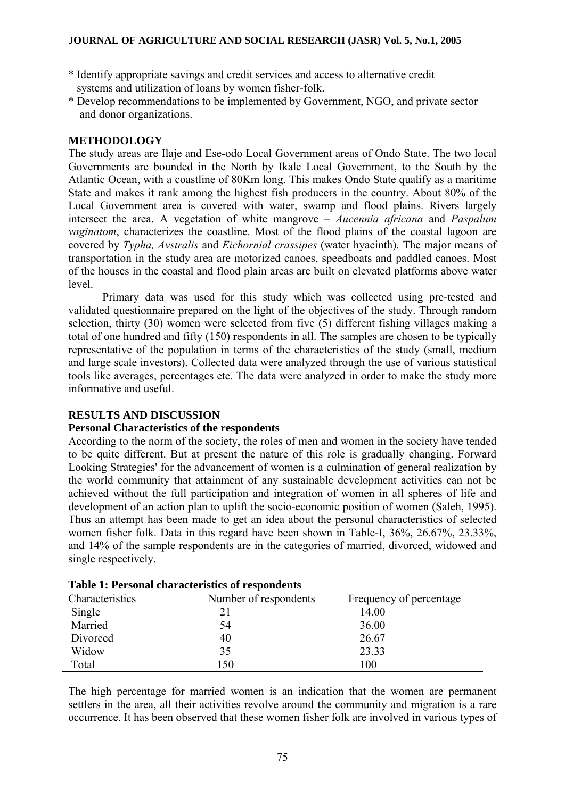- \* Identify appropriate savings and credit services and access to alternative credit systems and utilization of loans by women fisher-folk.
- \* Develop recommendations to be implemented by Government, NGO, and private sector and donor organizations.

## **METHODOLOGY**

The study areas are Ilaje and Ese-odo Local Government areas of Ondo State. The two local Governments are bounded in the North by Ikale Local Government, to the South by the Atlantic Ocean, with a coastline of 80Km long. This makes Ondo State qualify as a maritime State and makes it rank among the highest fish producers in the country. About 80% of the Local Government area is covered with water, swamp and flood plains. Rivers largely intersect the area. A vegetation of white mangrove – *Aucennia africana* and *Paspalum vaginatom*, characterizes the coastline*.* Most of the flood plains of the coastal lagoon are covered by *Typha, Avstralis* and *Eichornial crassipes* (water hyacinth). The major means of transportation in the study area are motorized canoes, speedboats and paddled canoes. Most of the houses in the coastal and flood plain areas are built on elevated platforms above water level.

Primary data was used for this study which was collected using pre-tested and validated questionnaire prepared on the light of the objectives of the study. Through random selection, thirty (30) women were selected from five (5) different fishing villages making a total of one hundred and fifty (150) respondents in all. The samples are chosen to be typically representative of the population in terms of the characteristics of the study (small, medium and large scale investors). Collected data were analyzed through the use of various statistical tools like averages, percentages etc. The data were analyzed in order to make the study more informative and useful.

### **RESULTS AND DISCUSSION**

### **Personal Characteristics of the respondents**

According to the norm of the society, the roles of men and women in the society have tended to be quite different. But at present the nature of this role is gradually changing. Forward Looking Strategies' for the advancement of women is a culmination of general realization by the world community that attainment of any sustainable development activities can not be achieved without the full participation and integration of women in all spheres of life and development of an action plan to uplift the socio-economic position of women (Saleh, 1995). Thus an attempt has been made to get an idea about the personal characteristics of selected women fisher folk. Data in this regard have been shown in Table-I, 36%, 26.67%, 23.33%, and 14% of the sample respondents are in the categories of married, divorced, widowed and single respectively.

|                 | Tuble 1: I elbohul chuluctellouch of Fespondents |                         |  |  |
|-----------------|--------------------------------------------------|-------------------------|--|--|
| Characteristics | Number of respondents                            | Frequency of percentage |  |  |
| Single          |                                                  | 14.00                   |  |  |
| Married         | 54                                               | 36.00                   |  |  |
| Divorced        | 40                                               | 26.67                   |  |  |
| Widow           | 35                                               | 23.33                   |  |  |
| Total           | 150                                              | 100                     |  |  |

| <b>Table 1: Personal characteristics of respondents</b> |
|---------------------------------------------------------|
|---------------------------------------------------------|

The high percentage for married women is an indication that the women are permanent settlers in the area, all their activities revolve around the community and migration is a rare occurrence. It has been observed that these women fisher folk are involved in various types of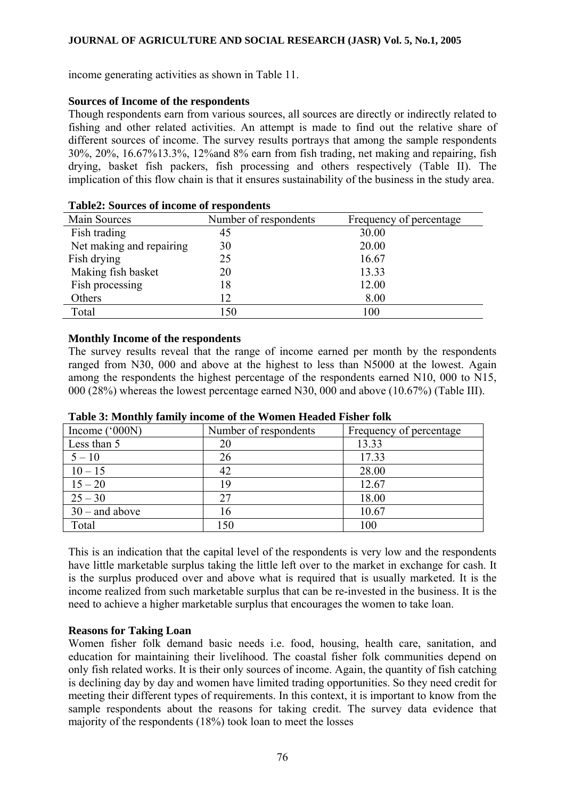income generating activities as shown in Table 11.

## **Sources of Income of the respondents**

Though respondents earn from various sources, all sources are directly or indirectly related to fishing and other related activities. An attempt is made to find out the relative share of different sources of income. The survey results portrays that among the sample respondents 30%, 20%, 16.67%13.3%, 12%and 8% earn from fish trading, net making and repairing, fish drying, basket fish packers, fish processing and others respectively (Table II). The implication of this flow chain is that it ensures sustainability of the business in the study area.

| $1.001$ and $1.000$ and $1.000$ and $1.000$ and $1.000$ |                       |                         |  |
|---------------------------------------------------------|-----------------------|-------------------------|--|
| Main Sources                                            | Number of respondents | Frequency of percentage |  |
| Fish trading                                            | 45                    | 30.00                   |  |
| Net making and repairing                                | 30                    | 20.00                   |  |
| Fish drying                                             | 25                    | 16.67                   |  |
| Making fish basket                                      | 20                    | 13.33                   |  |
| Fish processing                                         | 18                    | 12.00                   |  |
| Others                                                  | 12                    | 8.00                    |  |
| Total                                                   | 150                   | 100                     |  |

# **Table2: Sources of income of respondents**

## **Monthly Income of the respondents**

The survey results reveal that the range of income earned per month by the respondents ranged from N30, 000 and above at the highest to less than N5000 at the lowest. Again among the respondents the highest percentage of the respondents earned N10, 000 to N15, 000 (28%) whereas the lowest percentage earned N30, 000 and above (10.67%) (Table III).

| $\cdot$<br>Income $(^{\circ}000N)$ | Number of respondents | Frequency of percentage |
|------------------------------------|-----------------------|-------------------------|
| Less than 5                        | 20                    | 13.33                   |
| $5 - 10$                           | 26                    | 17.33                   |
| $10 - 15$                          | 42                    | 28.00                   |
| $15 - 20$                          | 19                    | 12.67                   |
| $25 - 30$                          | 27                    | 18.00                   |
| $30$ – and above                   | 16                    | 10.67                   |
| Total                              | 150                   | 100                     |

|  |  |  | Table 3: Monthly family income of the Women Headed Fisher folk |
|--|--|--|----------------------------------------------------------------|
|  |  |  |                                                                |

This is an indication that the capital level of the respondents is very low and the respondents have little marketable surplus taking the little left over to the market in exchange for cash. It is the surplus produced over and above what is required that is usually marketed. It is the income realized from such marketable surplus that can be re-invested in the business. It is the need to achieve a higher marketable surplus that encourages the women to take loan.

# **Reasons for Taking Loan**

Women fisher folk demand basic needs i.e. food, housing, health care, sanitation, and education for maintaining their livelihood. The coastal fisher folk communities depend on only fish related works. It is their only sources of income. Again, the quantity of fish catching is declining day by day and women have limited trading opportunities. So they need credit for meeting their different types of requirements. In this context, it is important to know from the sample respondents about the reasons for taking credit. The survey data evidence that majority of the respondents (18%) took loan to meet the losses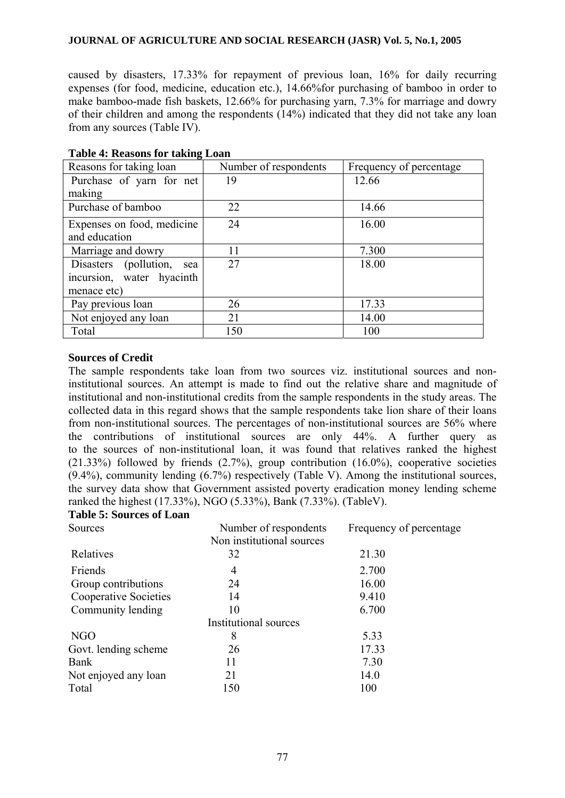caused by disasters, 17.33% for repayment of previous loan, 16% for daily recurring expenses (for food, medicine, education etc.), 14.66%for purchasing of bamboo in order to make bamboo-made fish baskets, 12.66% for purchasing yarn, 7.3% for marriage and dowry of their children and among the respondents (14%) indicated that they did not take any loan from any sources (Table IV).

| Reasons for taking loan      | Number of respondents | Frequency of percentage |
|------------------------------|-----------------------|-------------------------|
| Purchase of yarn for net     | 19                    | 12.66                   |
| making                       |                       |                         |
| Purchase of bamboo           | 22.                   | 14.66                   |
| Expenses on food, medicine   | 24                    | 16.00                   |
| and education                |                       |                         |
| Marriage and dowry           | 11                    | 7.300                   |
| Disasters (pollution,<br>sea | 27                    | 18.00                   |
| incursion, water hyacinth    |                       |                         |
| menace etc)                  |                       |                         |
| Pay previous loan            | 26                    | 17.33                   |
| Not enjoyed any loan         | 21                    | 14.00                   |
| Total                        | 150                   | 100                     |

#### **Table 4: Reasons for taking Loan**

#### **Sources of Credit**

The sample respondents take loan from two sources viz. institutional sources and noninstitutional sources. An attempt is made to find out the relative share and magnitude of institutional and non-institutional credits from the sample respondents in the study areas. The collected data in this regard shows that the sample respondents take lion share of their loans from non-institutional sources. The percentages of non-institutional sources are 56% where the contributions of institutional sources are only 44%. A further query as to the sources of non-institutional loan, it was found that relatives ranked the highest  $(21.33%)$  followed by friends  $(2.7%)$ , group contribution  $(16.0%)$ , cooperative societies (9.4%), community lending (6.7%) respectively (Table V). Among the institutional sources, the survey data show that Government assisted poverty eradication money lending scheme ranked the highest (17.33%), NGO (5.33%), Bank (7.33%). (TableV).

## **Table 5: Sources of Loan**

| Sources                      | Number of respondents     | Frequency of percentage |
|------------------------------|---------------------------|-------------------------|
|                              | Non institutional sources |                         |
| Relatives                    | 32                        | 21.30                   |
| Friends                      | 4                         | 2.700                   |
| Group contributions          | 24                        | 16.00                   |
| <b>Cooperative Societies</b> | 14                        | 9.410                   |
| Community lending            | 10                        | 6.700                   |
|                              | Institutional sources     |                         |
| NGO                          | 8                         | 5.33                    |
| Govt. lending scheme         | 26                        | 17.33                   |
| Bank                         | 11                        | 7.30                    |
| Not enjoyed any loan         | 21                        | 14.0                    |
| Total                        | 150                       | 100                     |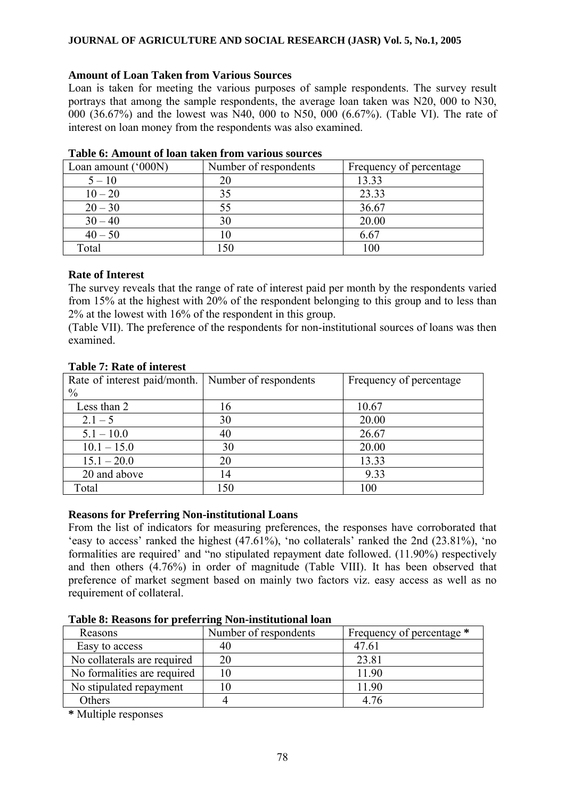## **Amount of Loan Taken from Various Sources**

Loan is taken for meeting the various purposes of sample respondents. The survey result portrays that among the sample respondents, the average loan taken was N20, 000 to N30, 000 (36.67%) and the lowest was N40, 000 to N50, 000 (6.67%). (Table VI). The rate of interest on loan money from the respondents was also examined.

| Loan amount ('000N) | Number of respondents | Frequency of percentage |
|---------------------|-----------------------|-------------------------|
| $5 - 10$            | 20                    | 13.33                   |
| $10 - 20$           | 35                    | 23.33                   |
| $20 - 30$           | 55                    | 36.67                   |
| $30 - 40$           | 30                    | 20.00                   |
| $40 - 50$           | 10                    | 6.67                    |
| Total               | 150                   | 100                     |

#### **Table 6: Amount of loan taken from various sources**

## **Rate of Interest**

The survey reveals that the range of rate of interest paid per month by the respondents varied from 15% at the highest with 20% of the respondent belonging to this group and to less than 2% at the lowest with 16% of the respondent in this group.

(Table VII). The preference of the respondents for non-institutional sources of loans was then examined.

| Rate of interest paid/month. Number of respondents |     | Frequency of percentage |
|----------------------------------------------------|-----|-------------------------|
| $\frac{0}{0}$                                      |     |                         |
| Less than 2                                        | 16  | 10.67                   |
| $2.1 - 5$                                          | 30  | 20.00                   |
| $5.1 - 10.0$                                       | 40  | 26.67                   |
| $10.1 - 15.0$                                      | 30  | 20.00                   |
| $15.1 - 20.0$                                      | 20  | 13.33                   |
| 20 and above                                       | 14  | 9.33                    |
| Total                                              | 150 | 100                     |

#### **Table 7: Rate of interest**

### **Reasons for Preferring Non-institutional Loans**

From the list of indicators for measuring preferences, the responses have corroborated that 'easy to access' ranked the highest (47.61%), 'no collaterals' ranked the 2nd (23.81%), 'no formalities are required' and "no stipulated repayment date followed. (11.90%) respectively and then others (4.76%) in order of magnitude (Table VIII). It has been observed that preference of market segment based on mainly two factors viz. easy access as well as no requirement of collateral.

#### **Table 8: Reasons for preferring Non-institutional loan**

| Reasons                     | Number of respondents | Frequency of percentage * |
|-----------------------------|-----------------------|---------------------------|
| Easy to access              | 40                    | 47.61                     |
| No collaterals are required | 20                    | 23.81                     |
| No formalities are required |                       | 11.90                     |
| No stipulated repayment     |                       | 11.90                     |
| Others                      |                       |                           |

**\*** Multiple responses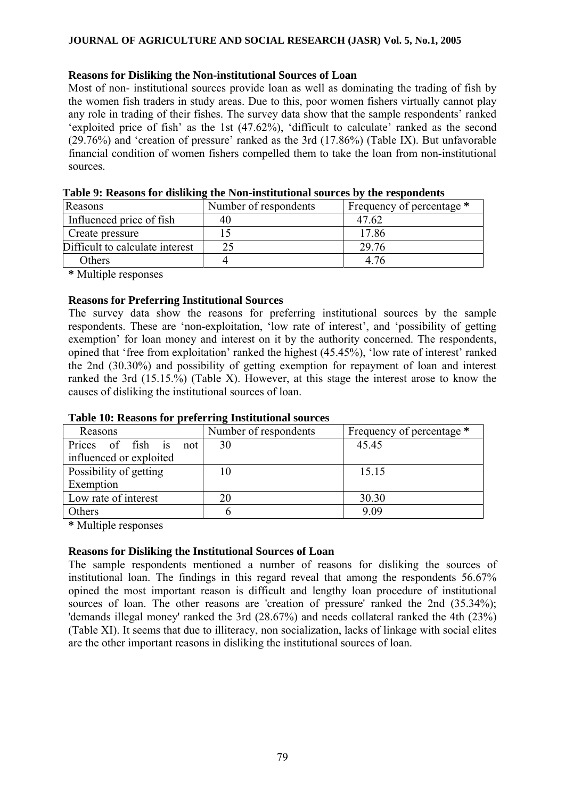## **Reasons for Disliking the Non-institutional Sources of Loan**

Most of non- institutional sources provide loan as well as dominating the trading of fish by the women fish traders in study areas. Due to this, poor women fishers virtually cannot play any role in trading of their fishes. The survey data show that the sample respondents' ranked 'exploited price of fish' as the 1st (47.62%), 'difficult to calculate' ranked as the second (29.76%) and 'creation of pressure' ranked as the 3rd (17.86%) (Table IX). But unfavorable financial condition of women fishers compelled them to take the loan from non-institutional sources.

| Reasons                         | Number of respondents | Frequency of percentage * |
|---------------------------------|-----------------------|---------------------------|
| Influenced price of fish        | 40                    | 47.62                     |
| Create pressure                 |                       | 17.86                     |
| Difficult to calculate interest |                       | 29.76                     |
| Others                          |                       | 4 76                      |
|                                 |                       |                           |

 **Table 9: Reasons for disliking the Non-institutional sources by the respondents** 

**\*** Multiple responses

## **Reasons for Preferring Institutional Sources**

The survey data show the reasons for preferring institutional sources by the sample respondents. These are 'non-exploitation, 'low rate of interest', and 'possibility of getting exemption' for loan money and interest on it by the authority concerned. The respondents, opined that 'free from exploitation' ranked the highest (45.45%), 'low rate of interest' ranked the 2nd (30.30%) and possibility of getting exemption for repayment of loan and interest ranked the 3rd (15.15.%) (Table X). However, at this stage the interest arose to know the causes of disliking the institutional sources of loan.

| <b>Table IV: Reasons for preferring institutional sources</b> |                       |                           |
|---------------------------------------------------------------|-----------------------|---------------------------|
| Reasons                                                       | Number of respondents | Frequency of percentage * |
| Prices of fish is<br>not                                      | 30                    | 45.45                     |
| influenced or exploited                                       |                       |                           |
| Possibility of getting                                        | 10                    | 15.15                     |
| Exemption                                                     |                       |                           |
| Low rate of interest                                          |                       | 30.30                     |

**Table 10: Reasons for preferring Institutional sources** 

**\*** Multiple responses

### **Reasons for Disliking the Institutional Sources of Loan**

Others 6 9.09

The sample respondents mentioned a number of reasons for disliking the sources of institutional loan. The findings in this regard reveal that among the respondents 56.67% opined the most important reason is difficult and lengthy loan procedure of institutional sources of loan. The other reasons are 'creation of pressure' ranked the 2nd (35.34%); 'demands illegal money' ranked the 3rd (28.67%) and needs collateral ranked the 4th (23%) (Table XI). It seems that due to illiteracy, non socialization, lacks of linkage with social elites are the other important reasons in disliking the institutional sources of loan.